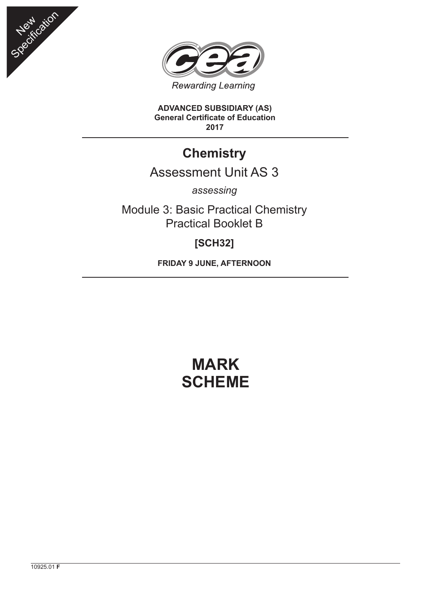



**ADVANCED SUBSIDIARY (AS) General Certificate of Education 2017**

## **Chemistry**

## Assessment Unit AS 3

*assessing*

Module 3: Basic Practical Chemistry Practical Booklet B

## **[SCH32]**

**FRIDAY 9 JUNE, AFTERNOON**

## **MARK SCHEME**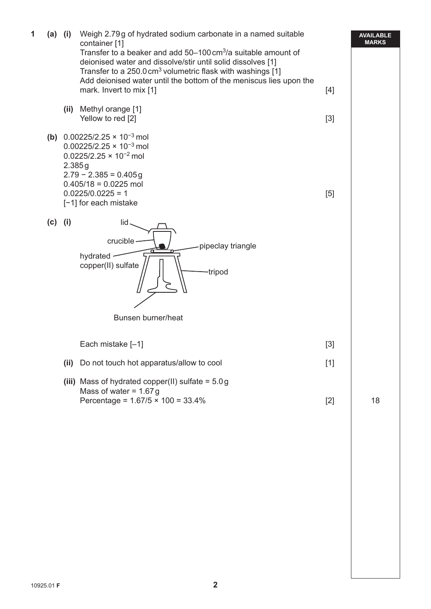**AVAILABLE MARKS 1 (a) (i)** Weigh 2.79 g of hydrated sodium carbonate in a named suitable container [1] Transfer to a beaker and add  $50-100 \text{ cm}^3$ /a suitable amount of deionised water and dissolve/stir until solid dissolves [1] Transfer to a  $250.0 \text{ cm}^3$  volumetric flask with washings [1] Add deionised water until the bottom of the meniscus lies upon the mark. Invert to mix [1] [4] **(ii)** Methyl orange [1] Yellow to red [2] [3] **(b)** 0.00225/2.25 × 10<sup>−</sup>3 mol 0.00225/2.25 × 10<sup>−</sup>3 mol 0.0225/2.25 × 10<sup>−</sup>2 mol 2.385 g  $2.79 - 2.385 = 0.405g$  $0.405/18 = 0.0225$  mol  $0.0225/0.0225 = 1$  [5] [−1] for each mistake **(c) (i)** lid crucible hydrated copper(II) sulfate  $\left|\left|\right|\right|$   $\left|\right|$  tripod Bunsen burner/heat pipeclay triangle Each mistake  $[-1]$  [3] **(ii)** Do not touch hot apparatus/allow to cool [1] **(iii)** Mass of hydrated copper(II) sulfate = 5.0 g Mass of water  $= 1.67$  g Percentage =  $1.67/5 \times 100 = 33.4\%$  [2] 18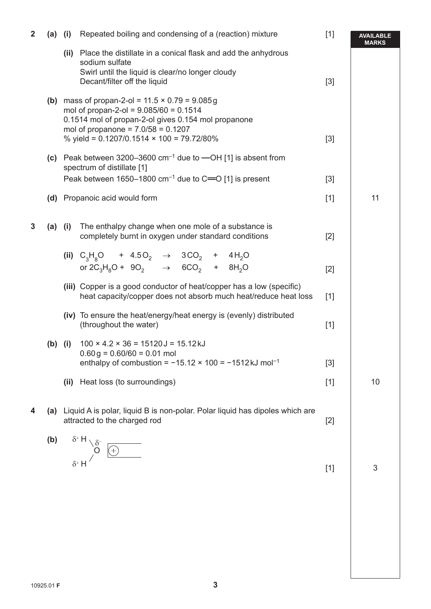| $\mathbf{2}$ | $(a)$ (i) | Repeated boiling and condensing of a (reaction) mixture                                                                                                                                                                                       | $[1]$ | <b>AVAILABLE</b><br><b>MARKS</b> |
|--------------|-----------|-----------------------------------------------------------------------------------------------------------------------------------------------------------------------------------------------------------------------------------------------|-------|----------------------------------|
|              |           | (ii) Place the distillate in a conical flask and add the anhydrous<br>sodium sulfate<br>Swirl until the liquid is clear/no longer cloudy<br>Decant/filter off the liquid                                                                      | $[3]$ |                                  |
|              |           | (b) mass of propan-2-ol = $11.5 \times 0.79 = 9.085g$<br>mol of propan-2-ol = $9.085/60 = 0.1514$<br>0.1514 mol of propan-2-ol gives 0.154 mol propanone<br>mol of propanone = $7.0/58 = 0.1207$<br>% yield = 0.1207/0.1514 × 100 = 79.72/80% | $[3]$ |                                  |
|              |           | (c) Peak between 3200-3600 $cm^{-1}$ due to $-OH$ [1] is absent from<br>spectrum of distillate [1]<br>Peak between 1650–1800 $cm^{-1}$ due to C=O [1] is present                                                                              | $[3]$ |                                  |
|              |           | (d) Propanoic acid would form                                                                                                                                                                                                                 | $[1]$ | 11                               |
|              |           |                                                                                                                                                                                                                                               |       |                                  |
| 3            | $(a)$ (i) | The enthalpy change when one mole of a substance is<br>completely burnt in oxygen under standard conditions                                                                                                                                   | $[2]$ |                                  |
|              |           | (ii) $C_3H_8O$ + 4.50 <sub>2</sub> $\rightarrow$ 3CO <sub>2</sub> + 4H <sub>2</sub> O<br>or $2C_3H_8O + 9O_2 \rightarrow 6CO_2 + 8H_2O$                                                                                                       | $[2]$ |                                  |
|              |           | (iii) Copper is a good conductor of heat/copper has a low (specific)<br>heat capacity/copper does not absorb much heat/reduce heat loss                                                                                                       | $[1]$ |                                  |
|              |           | (iv) To ensure the heat/energy/heat energy is (evenly) distributed<br>(throughout the water)                                                                                                                                                  | $[1]$ |                                  |
|              | $(b)$ (i) | $100 \times 4.2 \times 36 = 15120 \text{ J} = 15.12 \text{ kJ}$<br>$0.60 g = 0.60/60 = 0.01$ mol<br>enthalpy of combustion = $-15.12 \times 100 = -1512 \text{ kJ} \text{ mol}^{-1}$                                                          | $[3]$ |                                  |
|              |           | (ii) Heat loss (to surroundings)                                                                                                                                                                                                              | $[1]$ | 10                               |
| 4            |           | (a) Liquid A is polar, liquid B is non-polar. Polar liquid has dipoles which are<br>attracted to the charged rod                                                                                                                              | $[2]$ |                                  |
|              | (b)       | $\begin{array}{c}\n\delta^T \Pi \searrow \delta^- \\ \downarrow 0\n\end{array}$                                                                                                                                                               |       |                                  |
|              |           |                                                                                                                                                                                                                                               | $[1]$ | 3                                |
|              |           |                                                                                                                                                                                                                                               |       |                                  |
|              |           |                                                                                                                                                                                                                                               |       |                                  |
|              |           |                                                                                                                                                                                                                                               |       |                                  |